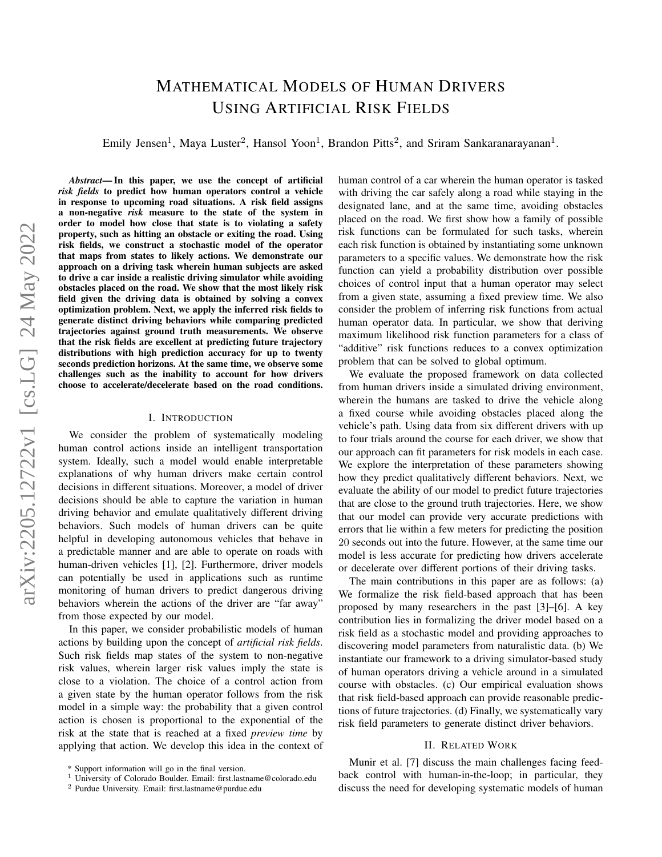# MATHEMATICAL MODELS OF HUMAN DRIVERS USING ARTIFICIAL RISK FIELDS

<span id="page-0-0"></span>Emily Jensen<sup>1</sup>, Maya Luster<sup>2</sup>, Hansol Yoon<sup>1</sup>, Brandon Pitts<sup>2</sup>, and Sriram Sankaranarayanan<sup>1</sup>.

*Abstract*— In this paper, we use the concept of artificial *risk fields* to predict how human operators control a vehicle in response to upcoming road situations. A risk field assigns a non-negative *risk* measure to the state of the system in order to model how close that state is to violating a safety property, such as hitting an obstacle or exiting the road. Using risk fields, we construct a stochastic model of the operator that maps from states to likely actions. We demonstrate our approach on a driving task wherein human subjects are asked to drive a car inside a realistic driving simulator while avoiding obstacles placed on the road. We show that the most likely risk field given the driving data is obtained by solving a convex optimization problem. Next, we apply the inferred risk fields to generate distinct driving behaviors while comparing predicted trajectories against ground truth measurements. We observe that the risk fields are excellent at predicting future trajectory distributions with high prediction accuracy for up to twenty seconds prediction horizons. At the same time, we observe some challenges such as the inability to account for how drivers choose to accelerate/decelerate based on the road conditions.

## I. INTRODUCTION

We consider the problem of systematically modeling human control actions inside an intelligent transportation system. Ideally, such a model would enable interpretable explanations of why human drivers make certain control decisions in different situations. Moreover, a model of driver decisions should be able to capture the variation in human driving behavior and emulate qualitatively different driving behaviors. Such models of human drivers can be quite helpful in developing autonomous vehicles that behave in a predictable manner and are able to operate on roads with human-driven vehicles [1], [2]. Furthermore, driver models can potentially be used in applications such as runtime monitoring of human drivers to predict dangerous driving behaviors wherein the actions of the driver are "far away" from those expected by our model.

In this paper, we consider probabilistic models of human actions by building upon the concept of *artificial risk fields*. Such risk fields map states of the system to non-negative risk values, wherein larger risk values imply the state is close to a violation. The choice of a control action from a given state by the human operator follows from the risk model in a simple way: the probability that a given control action is chosen is proportional to the exponential of the risk at the state that is reached at a fixed *preview time* by applying that action. We develop this idea in the context of human control of a car wherein the human operator is tasked with driving the car safely along a road while staying in the designated lane, and at the same time, avoiding obstacles placed on the road. We first show how a family of possible risk functions can be formulated for such tasks, wherein each risk function is obtained by instantiating some unknown parameters to a specific values. We demonstrate how the risk function can yield a probability distribution over possible choices of control input that a human operator may select from a given state, assuming a fixed preview time. We also consider the problem of inferring risk functions from actual human operator data. In particular, we show that deriving maximum likelihood risk function parameters for a class of "additive" risk functions reduces to a convex optimization problem that can be solved to global optimum.

We evaluate the proposed framework on data collected from human drivers inside a simulated driving environment, wherein the humans are tasked to drive the vehicle along a fixed course while avoiding obstacles placed along the vehicle's path. Using data from six different drivers with up to four trials around the course for each driver, we show that our approach can fit parameters for risk models in each case. We explore the interpretation of these parameters showing how they predict qualitatively different behaviors. Next, we evaluate the ability of our model to predict future trajectories that are close to the ground truth trajectories. Here, we show that our model can provide very accurate predictions with errors that lie within a few meters for predicting the position 20 seconds out into the future. However, at the same time our model is less accurate for predicting how drivers accelerate or decelerate over different portions of their driving tasks.

The main contributions in this paper are as follows: (a) We formalize the risk field-based approach that has been proposed by many researchers in the past [3]–[6]. A key contribution lies in formalizing the driver model based on a risk field as a stochastic model and providing approaches to discovering model parameters from naturalistic data. (b) We instantiate our framework to a driving simulator-based study of human operators driving a vehicle around in a simulated course with obstacles. (c) Our empirical evaluation shows that risk field-based approach can provide reasonable predictions of future trajectories. (d) Finally, we systematically vary risk field parameters to generate distinct driver behaviors.

# II. RELATED WORK

Munir et al. [7] discuss the main challenges facing feedback control with human-in-the-loop; in particular, they discuss the need for developing systematic models of human

<sup>\*</sup> Support information will go in the final version.

<sup>1</sup> University of Colorado Boulder. Email: first.lastname@colorado.edu

<sup>2</sup> Purdue University. Email: first.lastname@purdue.edu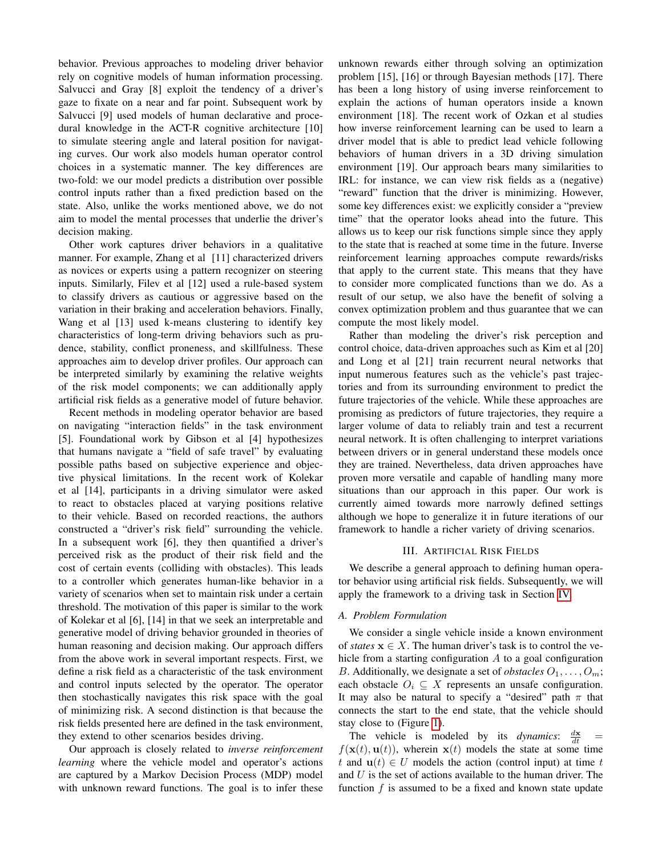behavior. Previous approaches to modeling driver behavior rely on cognitive models of human information processing. Salvucci and Gray [8] exploit the tendency of a driver's gaze to fixate on a near and far point. Subsequent work by Salvucci [9] used models of human declarative and procedural knowledge in the ACT-R cognitive architecture [10] to simulate steering angle and lateral position for navigating curves. Our work also models human operator control choices in a systematic manner. The key differences are two-fold: we our model predicts a distribution over possible control inputs rather than a fixed prediction based on the state. Also, unlike the works mentioned above, we do not aim to model the mental processes that underlie the driver's decision making.

Other work captures driver behaviors in a qualitative manner. For example, Zhang et al [11] characterized drivers as novices or experts using a pattern recognizer on steering inputs. Similarly, Filev et al [12] used a rule-based system to classify drivers as cautious or aggressive based on the variation in their braking and acceleration behaviors. Finally, Wang et al [13] used k-means clustering to identify key characteristics of long-term driving behaviors such as prudence, stability, conflict proneness, and skillfulness. These approaches aim to develop driver profiles. Our approach can be interpreted similarly by examining the relative weights of the risk model components; we can additionally apply artificial risk fields as a generative model of future behavior.

Recent methods in modeling operator behavior are based on navigating "interaction fields" in the task environment [5]. Foundational work by Gibson et al [4] hypothesizes that humans navigate a "field of safe travel" by evaluating possible paths based on subjective experience and objective physical limitations. In the recent work of Kolekar et al [14], participants in a driving simulator were asked to react to obstacles placed at varying positions relative to their vehicle. Based on recorded reactions, the authors constructed a "driver's risk field" surrounding the vehicle. In a subsequent work [6], they then quantified a driver's perceived risk as the product of their risk field and the cost of certain events (colliding with obstacles). This leads to a controller which generates human-like behavior in a variety of scenarios when set to maintain risk under a certain threshold. The motivation of this paper is similar to the work of Kolekar et al [6], [14] in that we seek an interpretable and generative model of driving behavior grounded in theories of human reasoning and decision making. Our approach differs from the above work in several important respects. First, we define a risk field as a characteristic of the task environment and control inputs selected by the operator. The operator then stochastically navigates this risk space with the goal of minimizing risk. A second distinction is that because the risk fields presented here are defined in the task environment, they extend to other scenarios besides driving.

Our approach is closely related to *inverse reinforcement learning* where the vehicle model and operator's actions are captured by a Markov Decision Process (MDP) model with unknown reward functions. The goal is to infer these unknown rewards either through solving an optimization problem [15], [16] or through Bayesian methods [17]. There has been a long history of using inverse reinforcement to explain the actions of human operators inside a known environment [18]. The recent work of Ozkan et al studies how inverse reinforcement learning can be used to learn a driver model that is able to predict lead vehicle following behaviors of human drivers in a 3D driving simulation environment [19]. Our approach bears many similarities to IRL: for instance, we can view risk fields as a (negative) "reward" function that the driver is minimizing. However, some key differences exist: we explicitly consider a "preview time" that the operator looks ahead into the future. This allows us to keep our risk functions simple since they apply to the state that is reached at some time in the future. Inverse reinforcement learning approaches compute rewards/risks that apply to the current state. This means that they have to consider more complicated functions than we do. As a result of our setup, we also have the benefit of solving a convex optimization problem and thus guarantee that we can compute the most likely model.

Rather than modeling the driver's risk perception and control choice, data-driven approaches such as Kim et al [20] and Long et al [21] train recurrent neural networks that input numerous features such as the vehicle's past trajectories and from its surrounding environment to predict the future trajectories of the vehicle. While these approaches are promising as predictors of future trajectories, they require a larger volume of data to reliably train and test a recurrent neural network. It is often challenging to interpret variations between drivers or in general understand these models once they are trained. Nevertheless, data driven approaches have proven more versatile and capable of handling many more situations than our approach in this paper. Our work is currently aimed towards more narrowly defined settings although we hope to generalize it in future iterations of our framework to handle a richer variety of driving scenarios.

#### III. ARTIFICIAL RISK FIELDS

We describe a general approach to defining human operator behavior using artificial risk fields. Subsequently, we will apply the framework to a driving task in Section [IV.](#page-2-0)

# *A. Problem Formulation*

We consider a single vehicle inside a known environment of *states*  $x \in X$ . The human driver's task is to control the vehicle from a starting configuration  $A$  to a goal configuration B. Additionally, we designate a set of *obstacles*  $O_1, \ldots, O_m$ ; each obstacle  $O_i \subseteq X$  represents an unsafe configuration. It may also be natural to specify a "desired" path  $\pi$  that connects the start to the end state, that the vehicle should stay close to (Figure [1\)](#page-2-1).

The vehicle is modeled by its *dynamics*:  $\frac{dx}{dt}$  =  $f(\mathbf{x}(t), \mathbf{u}(t))$ , wherein  $\mathbf{x}(t)$  models the state at some time t and  $u(t) \in U$  models the action (control input) at time t and  $U$  is the set of actions available to the human driver. The function f is assumed to be a fixed and known state update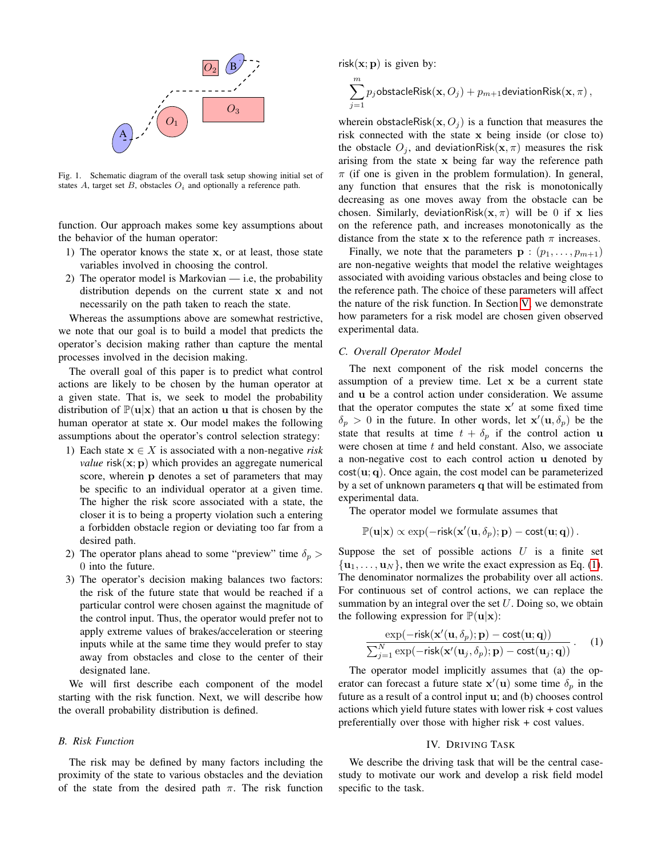

<span id="page-2-1"></span>Fig. 1. Schematic diagram of the overall task setup showing initial set of states A, target set B, obstacles  $O_i$  and optionally a reference path.

function. Our approach makes some key assumptions about the behavior of the human operator:

- 1) The operator knows the state x, or at least, those state variables involved in choosing the control.
- 2) The operator model is Markovian i.e, the probability distribution depends on the current state x and not necessarily on the path taken to reach the state.

Whereas the assumptions above are somewhat restrictive, we note that our goal is to build a model that predicts the operator's decision making rather than capture the mental processes involved in the decision making.

The overall goal of this paper is to predict what control actions are likely to be chosen by the human operator at a given state. That is, we seek to model the probability distribution of  $\mathbb{P}(\mathbf{u}|\mathbf{x})$  that an action u that is chosen by the human operator at state x. Our model makes the following assumptions about the operator's control selection strategy:

- 1) Each state  $x \in X$  is associated with a non-negative *risk value*  $risk(x; p)$  which provides an aggregate numerical score, wherein p denotes a set of parameters that may be specific to an individual operator at a given time. The higher the risk score associated with a state, the closer it is to being a property violation such a entering a forbidden obstacle region or deviating too far from a desired path.
- 2) The operator plans ahead to some "preview" time  $\delta_p$  > 0 into the future.
- 3) The operator's decision making balances two factors: the risk of the future state that would be reached if a particular control were chosen against the magnitude of the control input. Thus, the operator would prefer not to apply extreme values of brakes/acceleration or steering inputs while at the same time they would prefer to stay away from obstacles and close to the center of their designated lane.

We will first describe each component of the model starting with the risk function. Next, we will describe how the overall probability distribution is defined.

#### *B. Risk Function*

The risk may be defined by many factors including the proximity of the state to various obstacles and the deviation of the state from the desired path  $\pi$ . The risk function

risk $(x; p)$  is given by:

$$
\sum_{j=1}^m p_j {\sf obstacleRisk}({\bf x},O_j) + p_{m+1} {\sf deviationRisk}({\bf x},\pi)\,,
$$

wherein obstacleRisk( $x, O_i$ ) is a function that measures the risk connected with the state x being inside (or close to) the obstacle  $O_i$ , and deviationRisk( $\mathbf{x}, \pi$ ) measures the risk arising from the state x being far way the reference path  $\pi$  (if one is given in the problem formulation). In general, any function that ensures that the risk is monotonically decreasing as one moves away from the obstacle can be chosen. Similarly, deviationRisk $(x, \pi)$  will be 0 if x lies on the reference path, and increases monotonically as the distance from the state x to the reference path  $\pi$  increases.

Finally, we note that the parameters  $\mathbf{p}$ :  $(p_1, \ldots, p_{m+1})$ are non-negative weights that model the relative weightages associated with avoiding various obstacles and being close to the reference path. The choice of these parameters will affect the nature of the risk function. In Section [V,](#page-4-0) we demonstrate how parameters for a risk model are chosen given observed experimental data.

## *C. Overall Operator Model*

The next component of the risk model concerns the assumption of a preview time. Let x be a current state and u be a control action under consideration. We assume that the operator computes the state  $x'$  at some fixed time  $\delta_p > 0$  in the future. In other words, let  $\mathbf{x}'(\mathbf{u}, \delta_p)$  be the state that results at time  $t + \delta_p$  if the control action u were chosen at time  $t$  and held constant. Also, we associate a non-negative cost to each control action u denoted by  $cost(\mathbf{u}; \mathbf{q})$ . Once again, the cost model can be parameterized by a set of unknown parameters q that will be estimated from experimental data.

The operator model we formulate assumes that

$$
\mathbb{P}(\mathbf{u}|\mathbf{x}) \propto \exp(-\mathsf{risk}(\mathbf{x}'(\mathbf{u},\delta_p);\mathbf{p}) - \mathsf{cost}(\mathbf{u};\mathbf{q}))\,.
$$

Suppose the set of possible actions  $U$  is a finite set  $\{u_1, \ldots, u_N\}$ , then we write the exact expression as Eq. [\(1\)](#page-2-2). The denominator normalizes the probability over all actions. For continuous set of control actions, we can replace the summation by an integral over the set  $U$ . Doing so, we obtain the following expression for  $\mathbb{P}(\mathbf{u}|\mathbf{x})$ :

<span id="page-2-2"></span>
$$
\frac{\exp(-\text{risk}(\mathbf{x}'(\mathbf{u}, \delta_p); \mathbf{p}) - \text{cost}(\mathbf{u}; \mathbf{q}))}{\sum_{j=1}^N \exp(-\text{risk}(\mathbf{x}'(\mathbf{u}_j, \delta_p); \mathbf{p}) - \text{cost}(\mathbf{u}_j; \mathbf{q}))}.
$$
 (1)

The operator model implicitly assumes that (a) the operator can forecast a future state  $\mathbf{x}'(\mathbf{u})$  some time  $\delta_p$  in the future as a result of a control input u; and (b) chooses control actions which yield future states with lower risk + cost values preferentially over those with higher risk + cost values.

## IV. DRIVING TASK

<span id="page-2-0"></span>We describe the driving task that will be the central casestudy to motivate our work and develop a risk field model specific to the task.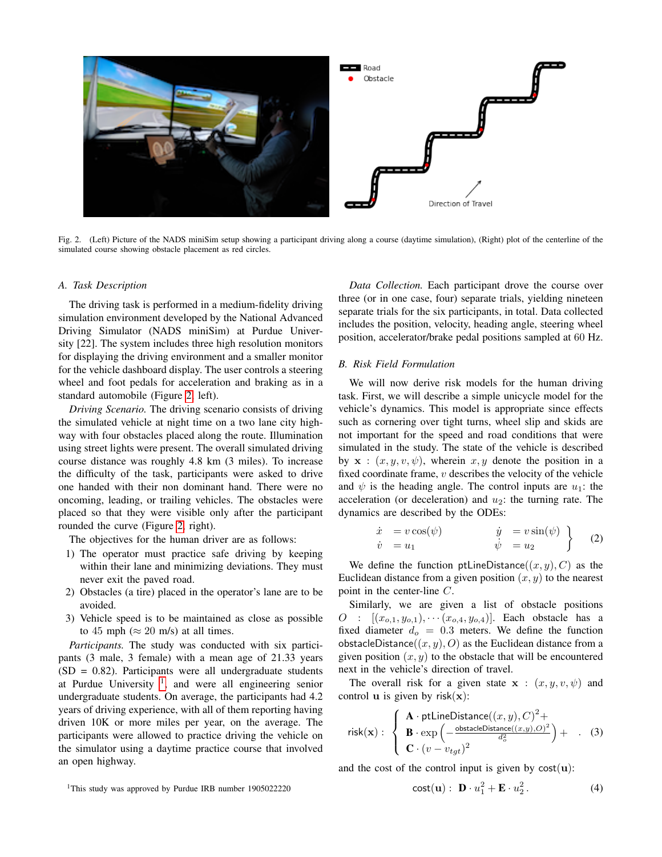

Fig. 2. (Left) Picture of the NADS miniSim setup showing a participant driving along a course (daytime simulation), (Right) plot of the centerline of the simulated course showing obstacle placement as red circles.

# <span id="page-3-0"></span>*A. Task Description*

The driving task is performed in a medium-fidelity driving simulation environment developed by the National Advanced Driving Simulator (NADS miniSim) at Purdue University [22]. The system includes three high resolution monitors for displaying the driving environment and a smaller monitor for the vehicle dashboard display. The user controls a steering wheel and foot pedals for acceleration and braking as in a standard automobile (Figure [2,](#page-3-0) left).

*Driving Scenario.* The driving scenario consists of driving the simulated vehicle at night time on a two lane city highway with four obstacles placed along the route. Illumination using street lights were present. The overall simulated driving course distance was roughly 4.8 km (3 miles). To increase the difficulty of the task, participants were asked to drive one handed with their non dominant hand. There were no oncoming, leading, or trailing vehicles. The obstacles were placed so that they were visible only after the participant rounded the curve (Figure [2,](#page-3-0) right).

The objectives for the human driver are as follows:

- 1) The operator must practice safe driving by keeping within their lane and minimizing deviations. They must never exit the paved road.
- 2) Obstacles (a tire) placed in the operator's lane are to be avoided.
- 3) Vehicle speed is to be maintained as close as possible to 45 mph ( $\approx$  20 m/s) at all times.

*Participants.* The study was conducted with six participants (3 male, 3 female) with a mean age of 21.33 years  $(SD = 0.82)$ . Participants were all undergraduate students at Purdue University  $\frac{1}{1}$  $\frac{1}{1}$  $\frac{1}{1}$ , and were all engineering senior undergraduate students. On average, the participants had 4.2 years of driving experience, with all of them reporting having driven 10K or more miles per year, on the average. The participants were allowed to practice driving the vehicle on the simulator using a daytime practice course that involved an open highway.

*Data Collection.* Each participant drove the course over three (or in one case, four) separate trials, yielding nineteen separate trials for the six participants, in total. Data collected includes the position, velocity, heading angle, steering wheel position, accelerator/brake pedal positions sampled at 60 Hz.

## <span id="page-3-4"></span>*B. Risk Field Formulation*

We will now derive risk models for the human driving task. First, we will describe a simple unicycle model for the vehicle's dynamics. This model is appropriate since effects such as cornering over tight turns, wheel slip and skids are not important for the speed and road conditions that were simulated in the study. The state of the vehicle is described by  $x : (x, y, v, \psi)$ , wherein  $x, y$  denote the position in a fixed coordinate frame,  $v$  describes the velocity of the vehicle and  $\psi$  is the heading angle. The control inputs are  $u_1$ : the acceleration (or deceleration) and  $u_2$ : the turning rate. The dynamics are described by the ODEs:

<span id="page-3-3"></span>
$$
\begin{array}{rcl}\n\dot{x} &= v \cos(\psi) & \dot{y} &= v \sin(\psi) \\
\dot{v} &= u_1 & \dot{\psi} &= u_2\n\end{array}
$$
\n(2)

We define the function ptLineDistance( $(x, y), C$ ) as the Euclidean distance from a given position  $(x, y)$  to the nearest point in the center-line C.

Similarly, we are given a list of obstacle positions  $O : [(x_{o,1}, y_{o,1}), \cdots (x_{o,4}, y_{o,4})].$  Each obstacle has a fixed diameter  $d_o = 0.3$  meters. We define the function obstacleDistance( $(x, y)$ , O) as the Euclidean distance from a given position  $(x, y)$  to the obstacle that will be encountered next in the vehicle's direction of travel.

The overall risk for a given state  $x : (x, y, v, \psi)$  and control **u** is given by risk $(x)$ :

<span id="page-3-1"></span>
$$
\text{risk}(\mathbf{x}) : \begin{cases} \mathbf{A} \cdot \text{ptLineDistance}((x, y), C)^2 + \\ \mathbf{B} \cdot \exp\left(-\frac{\text{obstacleDistance}((x, y), O)^2}{d_o^2}\right) + \\ \mathbf{C} \cdot (v - v_{tgt})^2 \end{cases}
$$
 (3)

and the cost of the control input is given by  $cost(u)$ :

$$
{}^{1}
$$
This study was approved by Purdue IRB number 1905022220

<span id="page-3-2"></span>
$$
cost(\mathbf{u}): \ \mathbf{D} \cdot u_1^2 + \mathbf{E} \cdot u_2^2. \tag{4}
$$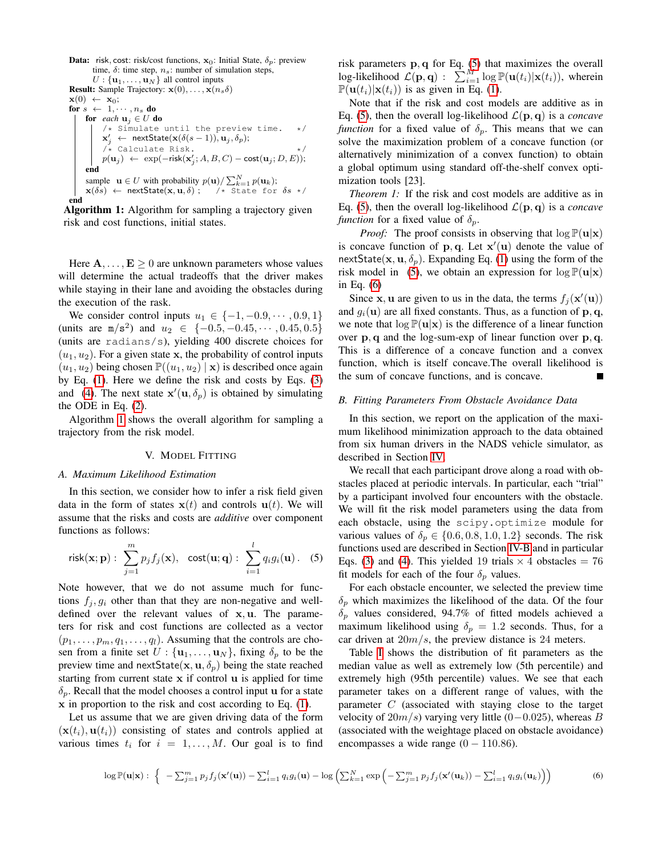<span id="page-4-1"></span>**Data:** risk, cost: risk/cost functions, **x**<sub>0</sub>: Initial State, δ<sub>p</sub>: preview  
time, δ: time step, n<sub>s</sub>: number of simulation steps,  

$$
U: {
$$
**u**<sub>1</sub>,..., **u**<sub>N</sub>} all control inputs  
**Result:** Sample Trajectory: **x**(0),..., **x**(n<sub>s</sub>δ)  
**x**(0) ← **x**<sub>0</sub>;  
**for** s ← 1,..., n<sub>s</sub> **do**  
**for** each **u**<sub>j</sub> ∈ *U* **do**  
/\* s simulate until the preview time. \*/  
 $x'_j$  ← nextState(**x**(δ(s - 1)), **u**<sub>j</sub>, δ<sub>p</sub>);  
/\* calculate Risk.  
 $p(\mathbf{u}_j) ← \exp(-\text{risk}(\mathbf{x}'_j; A, B, C) - \text{cost}(\mathbf{u}_j; D, E));$   
**end**  
sample **u** ∈ *U* with probability  $p(\mathbf{u}) / \sum_{k=1}^{N} p(\mathbf{u}_k)$ ;  
 $\mathbf{x}$ (δs) ← nextState(**x**, **u**, δ); /\* State for δs \*/  
**end**

Algorithm 1: Algorithm for sampling a trajectory given risk and cost functions, initial states.

Here  $\mathbf{A}, \dots, \mathbf{E} \geq 0$  are unknown parameters whose values will determine the actual tradeoffs that the driver makes while staying in their lane and avoiding the obstacles during the execution of the rask.

We consider control inputs  $u_1 \in \{-1, -0.9, \cdots, 0.9, 1\}$ (units are  $m/s^2$ ) and  $u_2 \in \{-0.5, -0.45, \dots, 0.45, 0.5\}$ (units are radians/s), yielding 400 discrete choices for  $(u_1, u_2)$ . For a given state x, the probability of control inputs  $(u_1, u_2)$  being chosen  $\mathbb{P}((u_1, u_2) | \mathbf{x})$  is described once again by Eq. [\(1\)](#page-2-2). Here we define the risk and costs by Eqs. [\(3\)](#page-3-1) and [\(4\)](#page-3-2). The next state  $\mathbf{x}'(\mathbf{u}, \delta_p)$  is obtained by simulating the ODE in Eq. [\(2\)](#page-3-3).

Algorithm [1](#page-4-1) shows the overall algorithm for sampling a trajectory from the risk model.

## V. MODEL FITTING

# <span id="page-4-0"></span>*A. Maximum Likelihood Estimation*

In this section, we consider how to infer a risk field given data in the form of states  $x(t)$  and controls  $u(t)$ . We will assume that the risks and costs are *additive* over component functions as follows:

<span id="page-4-2"></span>
$$
\mathsf{risk}(\mathbf{x};\mathbf{p}) : \sum_{j=1}^m p_j f_j(\mathbf{x}), \ \ \mathsf{cost}(\mathbf{u};\mathbf{q}) : \sum_{i=1}^l q_i g_i(\mathbf{u}). \ \ (5)
$$

Note however, that we do not assume much for functions  $f_i, g_i$  other than that they are non-negative and welldefined over the relevant values of x, u. The parameters for risk and cost functions are collected as a vector  $(p_1, \ldots, p_m, q_1, \ldots, q_l)$ . Assuming that the controls are chosen from a finite set  $U : {\mathbf{u}_1, \dots, \mathbf{u}_N}$ , fixing  $\delta_p$  to be the preview time and nextState( $\mathbf{x}, \mathbf{u}, \delta_p$ ) being the state reached starting from current state  $x$  if control  $u$  is applied for time  $\delta_p$ . Recall that the model chooses a control input u for a state x in proportion to the risk and cost according to Eq. [\(1\)](#page-2-2).

Let us assume that we are given driving data of the form  $(\mathbf{x}(t_i), \mathbf{u}(t_i))$  consisting of states and controls applied at various times  $t_i$  for  $i = 1, \ldots, M$ . Our goal is to find

risk parameters  $\mathbf{p}, \mathbf{q}$  for Eq. [\(5\)](#page-4-2) that maximizes the overall log-likelihood  $\mathcal{L}(\mathbf{p}, \mathbf{q})$ :  $\sum_{i=1}^{M} \log \mathbb{P}(\mathbf{u}(t_i)|\mathbf{x}(t_i))$ , wherein  $\mathbb{P}(\mathbf{u}(t_i)|\mathbf{x}(t_i))$  is as given in Eq. [\(1\)](#page-2-2).

Note that if the risk and cost models are additive as in Eq. [\(5\)](#page-4-2), then the overall log-likelihood  $\mathcal{L}(\mathbf{p}, \mathbf{q})$  is a *concave function* for a fixed value of  $\delta_p$ . This means that we can solve the maximization problem of a concave function (or alternatively minimization of a convex function) to obtain a global optimum using standard off-the-shelf convex optimization tools [23].

*Theorem 1:* If the risk and cost models are additive as in Eq. [\(5\)](#page-4-2), then the overall log-likelihood  $\mathcal{L}(\mathbf{p}, \mathbf{q})$  is a *concave function* for a fixed value of  $\delta_p$ .

*Proof:* The proof consists in observing that  $\log P(u|\mathbf{x})$ is concave function of  $\mathbf{p}, \mathbf{q}$ . Let  $\mathbf{x}'(\mathbf{u})$  denote the value of nextState( $x, u, \delta_p$ ). Expanding Eq. [\(1\)](#page-2-2) using the form of the risk model in [\(5\)](#page-4-2), we obtain an expression for  $\log P(u|\mathbf{x})$ in Eq. [\(6\)](#page-4-3)

Since **x**, **u** are given to us in the data, the terms  $f_j(\mathbf{x}'(\mathbf{u}))$ and  $g_i(\mathbf{u})$  are all fixed constants. Thus, as a function of  $\mathbf{p}, \mathbf{q}$ , we note that  $\log P(u|x)$  is the difference of a linear function over p, q and the log-sum-exp of linear function over p, q. This is a difference of a concave function and a convex function, which is itself concave.The overall likelihood is the sum of concave functions, and is concave.

## <span id="page-4-4"></span>*B. Fitting Parameters From Obstacle Avoidance Data*

In this section, we report on the application of the maximum likelihood minimization approach to the data obtained from six human drivers in the NADS vehicle simulator, as described in Section [IV.](#page-2-0)

We recall that each participant drove along a road with obstacles placed at periodic intervals. In particular, each "trial" by a participant involved four encounters with the obstacle. We will fit the risk model parameters using the data from each obstacle, using the scipy.optimize module for various values of  $\delta_p \in \{0.6, 0.8, 1.0, 1.2\}$  seconds. The risk functions used are described in Section [IV-B](#page-3-4) and in particular Eqs. [\(3\)](#page-3-1) and [\(4\)](#page-3-2). This yielded 19 trials  $\times$  4 obstacles = 76 fit models for each of the four  $\delta_p$  values.

For each obstacle encounter, we selected the preview time  $\delta_p$  which maximizes the likelihood of the data. Of the four  $\delta_p$  values considered, 94.7% of fitted models achieved a maximum likelihood using  $\delta_p = 1.2$  seconds. Thus, for a car driven at  $20m/s$ , the preview distance is 24 meters.

Table [I](#page-5-0) shows the distribution of fit parameters as the median value as well as extremely low (5th percentile) and extremely high (95th percentile) values. We see that each parameter takes on a different range of values, with the parameter  $C$  (associated with staying close to the target velocity of  $20m/s$ ) varying very little (0–0.025), whereas B (associated with the weightage placed on obstacle avoidance) encompasses a wide range  $(0 - 110.86)$ .

<span id="page-4-3"></span>
$$
\log \mathbb{P}(\mathbf{u}|\mathbf{x}) : \left\{ -\sum_{j=1}^{m} p_j f_j(\mathbf{x}'(\mathbf{u})) - \sum_{i=1}^{l} q_i g_i(\mathbf{u}) - \log \left( \sum_{k=1}^{N} \exp \left( -\sum_{j=1}^{m} p_j f_j(\mathbf{x}'(\mathbf{u}_k)) - \sum_{i=1}^{l} q_i g_i(\mathbf{u}_k) \right) \right) \right\}
$$
(6)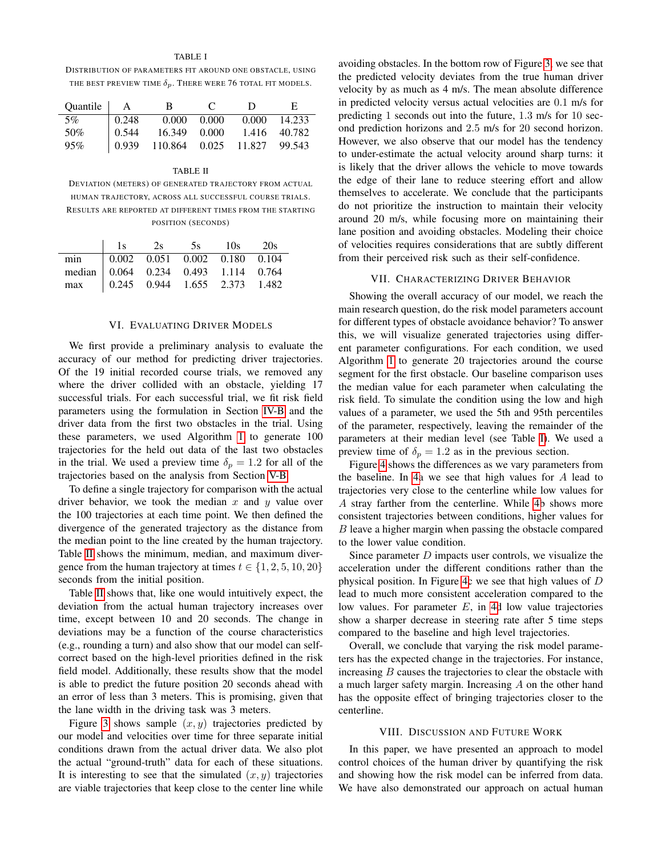## TABLE I

<span id="page-5-0"></span>DISTRIBUTION OF PARAMETERS FIT AROUND ONE OBSTACLE, USING THE BEST PREVIEW TIME  $\delta_p$ . There were 76 total fit models.

| Quantile   A |                     | R.                             | $\mathbf{C}$        | $\mathbf{D}$ | E.           |
|--------------|---------------------|--------------------------------|---------------------|--------------|--------------|
| 5%           | $\vert 0.248 \vert$ |                                | $0.000 \quad 0.000$ |              | 0.000 14.233 |
| 50%          | $\mid 0.544 \mid$   | 16.349 0.000                   |                     | 1.416 40.782 |              |
| 95%          | 0.939               | 110.864  0.025  11.827  99.543 |                     |              |              |

#### TABLE II

<span id="page-5-1"></span>DEVIATION (METERS) OF GENERATED TRAJECTORY FROM ACTUAL HUMAN TRAJECTORY, ACROSS ALL SUCCESSFUL COURSE TRIALS. RESULTS ARE REPORTED AT DIFFERENT TIMES FROM THE STARTING POSITION (SECONDS)

|                                                                                                                |  | $1s$ 2s 5s $10s$ 20s |  |
|----------------------------------------------------------------------------------------------------------------|--|----------------------|--|
|                                                                                                                |  |                      |  |
|                                                                                                                |  |                      |  |
| min 0.002 0.051 0.002 0.180 0.104<br>median 0.064 0.234 0.493 1.114 0.764<br>max 0.245 0.944 1.655 2.373 1.482 |  |                      |  |

#### VI. EVALUATING DRIVER MODELS

We first provide a preliminary analysis to evaluate the accuracy of our method for predicting driver trajectories. Of the 19 initial recorded course trials, we removed any where the driver collided with an obstacle, yielding 17 successful trials. For each successful trial, we fit risk field parameters using the formulation in Section [IV-B](#page-3-4) and the driver data from the first two obstacles in the trial. Using these parameters, we used Algorithm [1](#page-4-1) to generate 100 trajectories for the held out data of the last two obstacles in the trial. We used a preview time  $\delta_p = 1.2$  for all of the trajectories based on the analysis from Section [V-B.](#page-4-4)

To define a single trajectory for comparison with the actual driver behavior, we took the median  $x$  and  $y$  value over the 100 trajectories at each time point. We then defined the divergence of the generated trajectory as the distance from the median point to the line created by the human trajectory. Table [II](#page-5-1) shows the minimum, median, and maximum divergence from the human trajectory at times  $t \in \{1, 2, 5, 10, 20\}$ seconds from the initial position.

Table [II](#page-5-1) shows that, like one would intuitively expect, the deviation from the actual human trajectory increases over time, except between 10 and 20 seconds. The change in deviations may be a function of the course characteristics (e.g., rounding a turn) and also show that our model can selfcorrect based on the high-level priorities defined in the risk field model. Additionally, these results show that the model is able to predict the future position 20 seconds ahead with an error of less than 3 meters. This is promising, given that the lane width in the driving task was 3 meters.

Figure [3](#page-6-0) shows sample  $(x, y)$  trajectories predicted by our model and velocities over time for three separate initial conditions drawn from the actual driver data. We also plot the actual "ground-truth" data for each of these situations. It is interesting to see that the simulated  $(x, y)$  trajectories are viable trajectories that keep close to the center line while

avoiding obstacles. In the bottom row of Figure [3,](#page-6-0) we see that the predicted velocity deviates from the true human driver velocity by as much as 4 m/s. The mean absolute difference in predicted velocity versus actual velocities are 0.1 m/s for predicting 1 seconds out into the future, 1.3 m/s for 10 second prediction horizons and 2.5 m/s for 20 second horizon. However, we also observe that our model has the tendency to under-estimate the actual velocity around sharp turns: it is likely that the driver allows the vehicle to move towards the edge of their lane to reduce steering effort and allow themselves to accelerate. We conclude that the participants do not prioritize the instruction to maintain their velocity around 20 m/s, while focusing more on maintaining their lane position and avoiding obstacles. Modeling their choice of velocities requires considerations that are subtly different from their perceived risk such as their self-confidence.

## VII. CHARACTERIZING DRIVER BEHAVIOR

Showing the overall accuracy of our model, we reach the main research question, do the risk model parameters account for different types of obstacle avoidance behavior? To answer this, we will visualize generated trajectories using different parameter configurations. For each condition, we used Algorithm [1](#page-4-1) to generate 20 trajectories around the course segment for the first obstacle. Our baseline comparison uses the median value for each parameter when calculating the risk field. To simulate the condition using the low and high values of a parameter, we used the 5th and 95th percentiles of the parameter, respectively, leaving the remainder of the parameters at their median level (see Table [I\)](#page-5-0). We used a preview time of  $\delta_p = 1.2$  as in the previous section.

Figure [4](#page-6-1) shows the differences as we vary parameters from the baseline. In [4a](#page-6-1) we see that high values for A lead to trajectories very close to the centerline while low values for A stray farther from the centerline. While [4b](#page-6-1) shows more consistent trajectories between conditions, higher values for B leave a higher margin when passing the obstacle compared to the lower value condition.

Since parameter  $D$  impacts user controls, we visualize the acceleration under the different conditions rather than the physical position. In Figure [4c](#page-6-1) we see that high values of D lead to much more consistent acceleration compared to the low values. For parameter  $E$ , in [4d](#page-6-1) low value trajectories show a sharper decrease in steering rate after 5 time steps compared to the baseline and high level trajectories.

Overall, we conclude that varying the risk model parameters has the expected change in the trajectories. For instance, increasing  $B$  causes the trajectories to clear the obstacle with a much larger safety margin. Increasing A on the other hand has the opposite effect of bringing trajectories closer to the centerline.

# VIII. DISCUSSION AND FUTURE WORK

In this paper, we have presented an approach to model control choices of the human driver by quantifying the risk and showing how the risk model can be inferred from data. We have also demonstrated our approach on actual human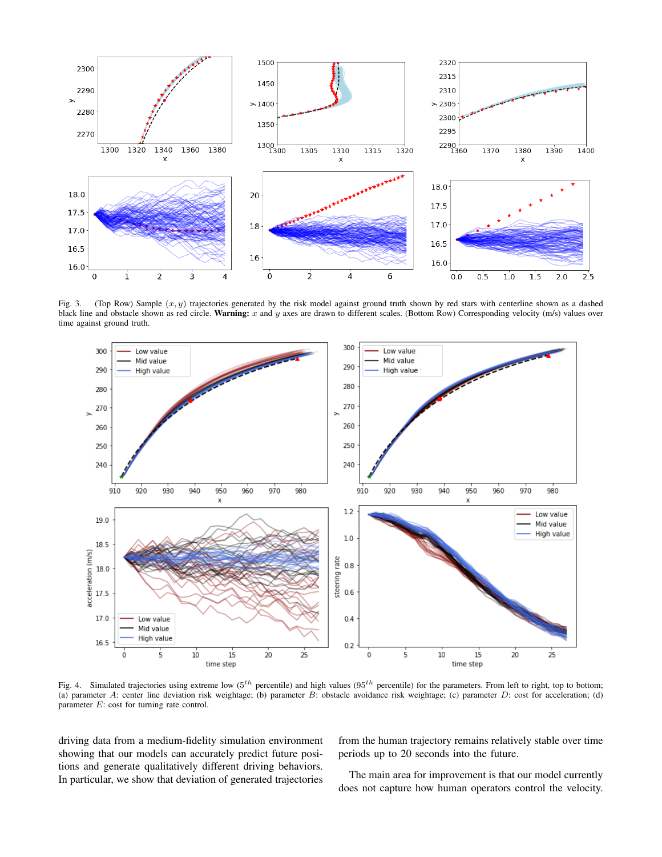

<span id="page-6-0"></span>Fig. 3. (Top Row) Sample  $(x, y)$  trajectories generated by the risk model against ground truth shown by red stars with centerline shown as a dashed black line and obstacle shown as red circle. Warning: x and y axes are drawn to different scales. (Bottom Row) Corresponding velocity (m/s) values over time against ground truth.



<span id="page-6-1"></span>Fig. 4. Simulated trajectories using extreme low ( $5^{th}$  percentile) and high values ( $95^{th}$  percentile) for the parameters. From left to right, top to bottom; (a) parameter A: center line deviation risk weightage; (b) parameter B: obstacle avoidance risk weightage; (c) parameter D: cost for acceleration; (d) parameter E: cost for turning rate control.

driving data from a medium-fidelity simulation environment showing that our models can accurately predict future positions and generate qualitatively different driving behaviors. In particular, we show that deviation of generated trajectories

from the human trajectory remains relatively stable over time periods up to 20 seconds into the future.

The main area for improvement is that our model currently does not capture how human operators control the velocity.